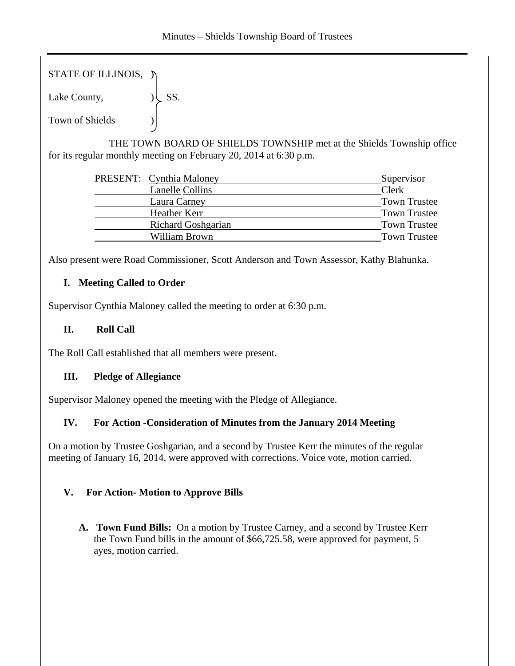STATE OF ILLINOIS,  $\triangledown$ 

Lake County,  $|\text{SS}|$ .

Town of Shields )

 THE TOWN BOARD OF SHIELDS TOWNSHIP met at the Shields Township office for its regular monthly meeting on February 20, 2014 at 6:30 p.m.

| PRESENT: Cynthia Maloney  | Supervisor          |
|---------------------------|---------------------|
| <b>Lanelle Collins</b>    | Clerk               |
| Laura Carney              | <b>Town Trustee</b> |
| Heather Kerr              | <b>Town Trustee</b> |
| <b>Richard Goshgarian</b> | <b>Town Trustee</b> |
| William Brown             | <b>Town Trustee</b> |
|                           |                     |

Also present were Road Commissioner, Scott Anderson and Town Assessor, Kathy Blahunka.

## **I. Meeting Called to Order**

Supervisor Cynthia Maloney called the meeting to order at 6:30 p.m.

## **II. Roll Call**

The Roll Call established that all members were present.

## **III. Pledge of Allegiance**

Supervisor Maloney opened the meeting with the Pledge of Allegiance.

# **IV. For Action -Consideration of Minutes from the January 2014 Meeting**

On a motion by Trustee Goshgarian, and a second by Trustee Kerr the minutes of the regular meeting of January 16, 2014, were approved with corrections. Voice vote, motion carried.

# **V.****For Action- Motion to Approve Bills**

**A. Town Fund Bills:** On a motion by Trustee Carney, and a second by Trustee Kerr the Town Fund bills in the amount of \$66,725.58, were approved for payment, 5 ayes, motion carried.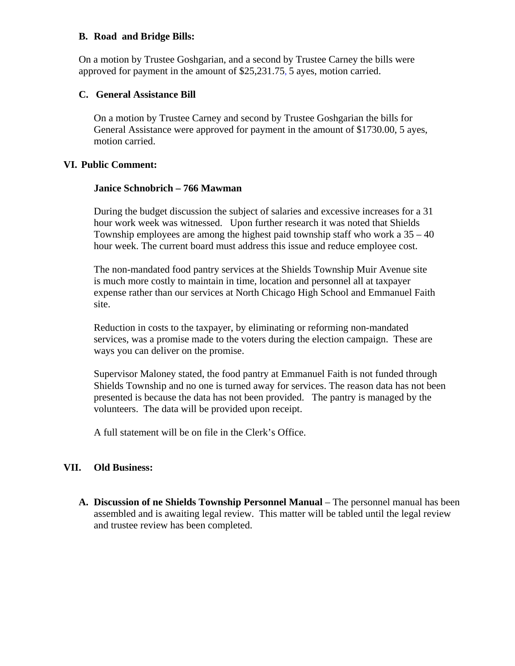#### **B. Road and Bridge Bills:**

On a motion by Trustee Goshgarian, and a second by Trustee Carney the bills were approved for payment in the amount of \$25,231.75, 5 ayes, motion carried.

#### **C. General Assistance Bill**

On a motion by Trustee Carney and second by Trustee Goshgarian the bills for General Assistance were approved for payment in the amount of \$1730.00, 5 ayes, motion carried.

#### **VI. Public Comment:**

#### **Janice Schnobrich – 766 Mawman**

During the budget discussion the subject of salaries and excessive increases for a 31 hour work week was witnessed. Upon further research it was noted that Shields Township employees are among the highest paid township staff who work a 35 – 40 hour week. The current board must address this issue and reduce employee cost.

The non-mandated food pantry services at the Shields Township Muir Avenue site is much more costly to maintain in time, location and personnel all at taxpayer expense rather than our services at North Chicago High School and Emmanuel Faith site.

Reduction in costs to the taxpayer, by eliminating or reforming non-mandated services, was a promise made to the voters during the election campaign. These are ways you can deliver on the promise.

Supervisor Maloney stated, the food pantry at Emmanuel Faith is not funded through Shields Township and no one is turned away for services. The reason data has not been presented is because the data has not been provided. The pantry is managed by the volunteers. The data will be provided upon receipt.

A full statement will be on file in the Clerk's Office.

## **VII. Old Business:**

**A. Discussion of ne Shields Township Personnel Manual** – The personnel manual has been assembled and is awaiting legal review. This matter will be tabled until the legal review and trustee review has been completed.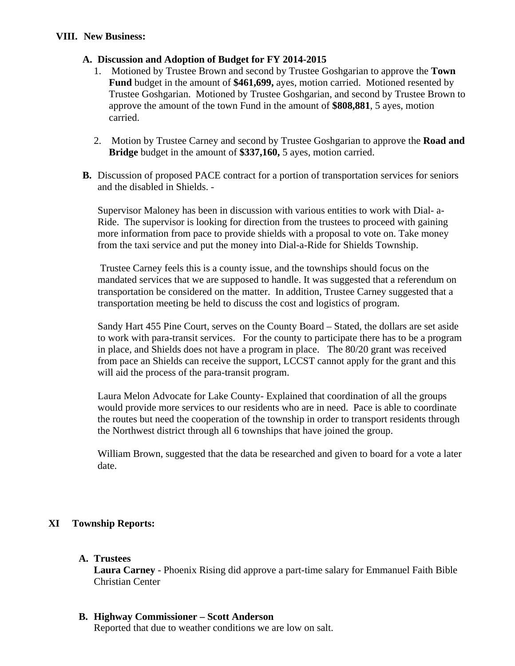## **A. Discussion and Adoption of Budget for FY 2014-2015**

- 1. Motioned by Trustee Brown and second by Trustee Goshgarian to approve the **Town Fund** budget in the amount of **\$461,699,** ayes, motion carried. Motioned resented by Trustee Goshgarian. Motioned by Trustee Goshgarian, and second by Trustee Brown to approve the amount of the town Fund in the amount of **\$808,881**, 5 ayes, motion carried.
- 2. Motion by Trustee Carney and second by Trustee Goshgarian to approve the **Road and Bridge** budget in the amount of **\$337,160,** 5 ayes, motion carried.
- **B.** Discussion of proposed PACE contract for a portion of transportation services for seniors and the disabled in Shields. -

Supervisor Maloney has been in discussion with various entities to work with Dial- a-Ride. The supervisor is looking for direction from the trustees to proceed with gaining more information from pace to provide shields with a proposal to vote on. Take money from the taxi service and put the money into Dial-a-Ride for Shields Township.

 Trustee Carney feels this is a county issue, and the townships should focus on the mandated services that we are supposed to handle. It was suggested that a referendum on transportation be considered on the matter. In addition, Trustee Carney suggested that a transportation meeting be held to discuss the cost and logistics of program.

Sandy Hart 455 Pine Court, serves on the County Board – Stated, the dollars are set aside to work with para-transit services. For the county to participate there has to be a program in place, and Shields does not have a program in place. The 80/20 grant was received from pace an Shields can receive the support, LCCST cannot apply for the grant and this will aid the process of the para-transit program.

Laura Melon Advocate for Lake County- Explained that coordination of all the groups would provide more services to our residents who are in need. Pace is able to coordinate the routes but need the cooperation of the township in order to transport residents through the Northwest district through all 6 townships that have joined the group.

William Brown, suggested that the data be researched and given to board for a vote a later date.

# **XI Township Reports:**

## **A. Trustees**

**Laura Carney** - Phoenix Rising did approve a part-time salary for Emmanuel Faith Bible Christian Center

## **B. Highway Commissioner – Scott Anderson**

Reported that due to weather conditions we are low on salt.